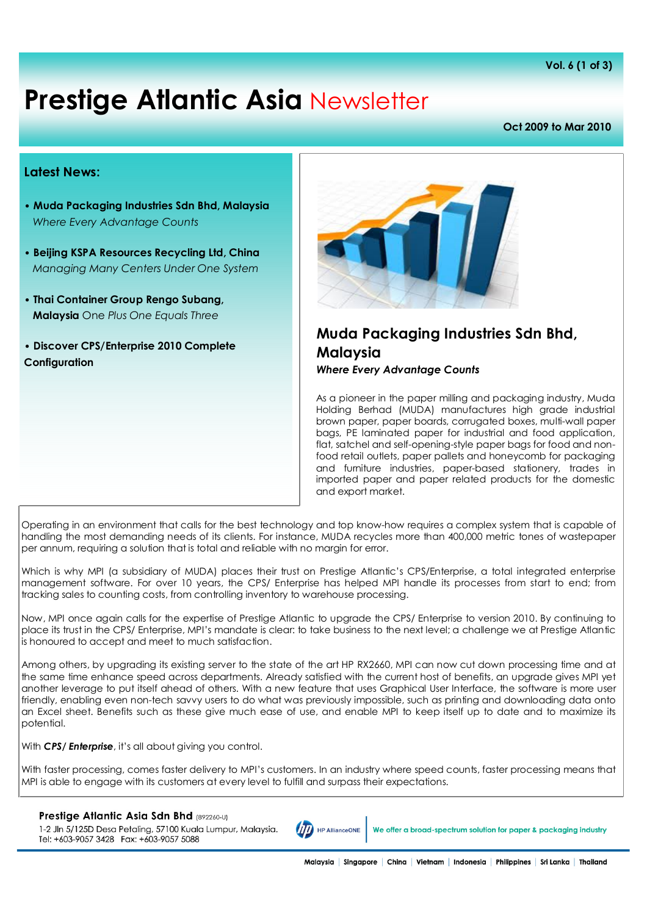# **Prestige Atlantic Asia** Newsletter

#### **Oct 2009 to Mar 2010**

#### **Latest News:**

- **Muda Packaging Industries Sdn Bhd, Malaysia** *Where Every Advantage Counts*
- **Beijing KSPA Resources Recycling Ltd, China** *Managing Many Centers Under One System*
- **Thai Container Group Rengo Subang, Malaysia** One *Plus One Equals Three*
- **Discover CPS/Enterprise 2010 Complete Configuration**



# **Muda Packaging Industries Sdn Bhd, Malaysia**

*Where Every Advantage Counts*

As a pioneer in the paper milling and packaging industry, Muda Holding Berhad (MUDA) manufactures high grade industrial brown paper, paper boards, corrugated boxes, multi-wall paper bags, PE laminated paper for industrial and food application, flat, satchel and self-opening-style paper bags for food and nonfood retail outlets, paper pallets and honeycomb for packaging and furniture industries, paper-based stationery, trades in imported paper and paper related products for the domestic and export market.

Operating in an environment that calls for the best technology and top know-how requires a complex system that is capable of handling the most demanding needs of its clients. For instance, MUDA recycles more than 400,000 metric tones of wastepaper per annum, requiring a solution that is total and reliable with no margin for error.

Which is why MPI (a subsidiary of MUDA) places their trust on Prestige Atlantic's CPS/Enterprise, a total integrated enterprise management software. For over 10 years, the CPS/ Enterprise has helped MPI handle its processes from start to end; from tracking sales to counting costs, from controlling inventory to warehouse processing.

Now, MPI once again calls for the expertise of Prestige Atlantic to upgrade the CPS/ Enterprise to version 2010. By continuing to place its trust in the CPS/ Enterprise, MPI's mandate is clear: to take business to the next level; a challenge we at Prestige Atlantic is honoured to accept and meet to much satisfaction.

Among others, by upgrading its existing server to the state of the art HP RX2660, MPI can now cut down processing time and at the same time enhance speed across departments. Already satisfied with the current host of benefits, an upgrade gives MPI yet another leverage to put itself ahead of others. With a new feature that uses Graphical User Interface, the software is more user friendly, enabling even non-tech savvy users to do what was previously impossible, such as printing and downloading data onto an Excel sheet. Benefits such as these give much ease of use, and enable MPI to keep itself up to date and to maximize its potential.

With **CPS/ Enterprise**, it's all about giving you control.

With faster processing, comes faster delivery to MPI's customers. In an industry where speed counts, faster processing means that MPI is able to engage with its customers at every level to fulfill and surpass their expectations.

#### Prestige Atlantic Asia Sdn Bhd (892260-U)

1-2 Jln 5/125D Desa Petaling, 57100 Kuala Lumpur, Malaysia. Tel: +603-9057 3428 Fax: +603-9057 5088



We offer a broad-spectrum solution for paper & packaging industry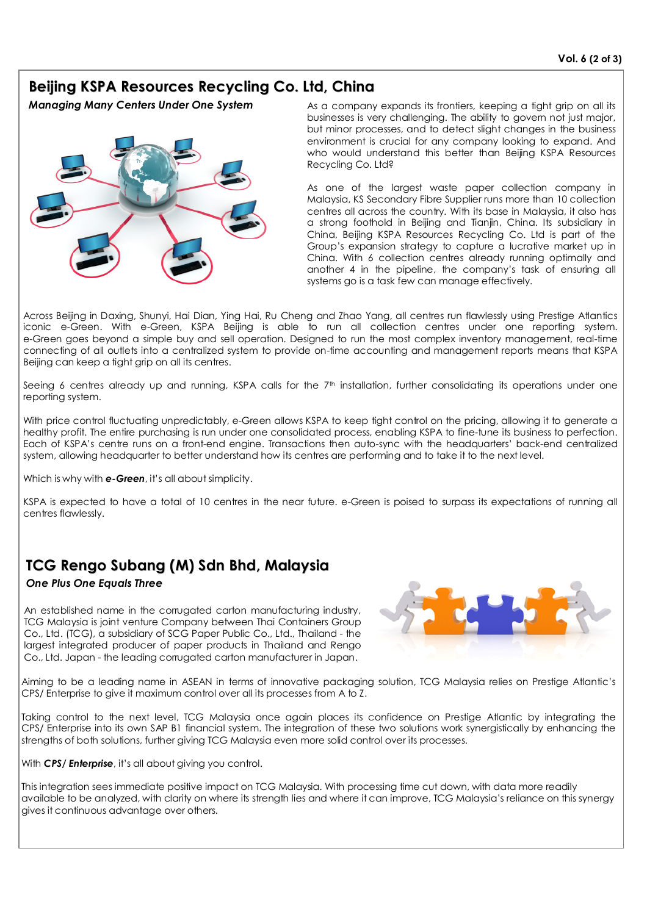## **Beijing KSPA Resources Recycling Co. Ltd, China**

*Managing Many Centers Under One System*



As a company expands its frontiers, keeping a tight grip on all its businesses is very challenging. The ability to govern not just major, but minor processes, and to detect slight changes in the business environment is crucial for any company looking to expand. And who would understand this better than Beijing KSPA Resources Recycling Co. Ltd?

As one of the largest waste paper collection company in Malaysia, KS Secondary Fibre Supplier runs more than 10 collection centres all across the country. With its base in Malaysia, it also has a strong foothold in Beijing and Tianjin, China. Its subsidiary in China, Beijing KSPA Resources Recycling Co. Ltd is part of the Group's expansion strategy to capture a lucrative market up in China. With 6 collection centres already running optimally and another 4 in the pipeline, the company's task of ensuring all systems go is a task few can manage effectively.

Across Beijing in Daxing, Shunyi, Hai Dian, Ying Hai, Ru Cheng and Zhao Yang, all centres run flawlessly using Prestige Atlantics iconic e-Green. With e-Green, KSPA Beijing is able to run all collection centres under one reporting system. e-Green goes beyond a simple buy and sell operation. Designed to run the most complex inventory management, real-time connecting of all outlets into a centralized system to provide on-time accounting and management reports means that KSPA Beijing can keep a tight grip on all its centres.

Seeing 6 centres already up and running, KSPA calls for the 7<sup>th</sup> installation, further consolidating its operations under one reporting system.

With price control fluctuating unpredictably, e-Green allows KSPA to keep tight control on the pricing, allowing it to generate a healthy profit. The entire purchasing is run under one consolidated process, enabling KSPA to fine-tune its business to perfection. Each of KSPA's centre runs on a front-end engine. Transactions then auto-sync with the headquarters' back-end centralized system, allowing headquarter to better understand how its centres are performing and to take it to the next level.

Which is why with **e-Green**, it's all about simplicity.

KSPA is expected to have a total of 10 centres in the near future. e-Green is poised to surpass its expectations of running all centres flawlessly.

## **TCG Rengo Subang (M) Sdn Bhd, Malaysia**

#### *One Plus One Equals Three*

An established name in the corrugated carton manufacturing industry, TCG Malaysia is joint venture Company between Thai Containers Group Co., Ltd. (TCG), a subsidiary of SCG Paper Public Co., Ltd., Thailand - the largest integrated producer of paper products in Thailand and Rengo Co., Ltd. Japan - the leading corrugated carton manufacturer in Japan.



Aiming to be a leading name in ASEAN in terms of innovative packaging solution, TCG Malaysia relies on Prestige Atlantic's CPS/ Enterprise to give it maximum control over all its processes from A to Z.

Taking control to the next level, TCG Malaysia once again places its confidence on Prestige Atlantic by integrating the CPS/ Enterprise into its own SAP B1 financial system. The integration of these two solutions work synergistically by enhancing the strengths of both solutions, further giving TCG Malaysia even more solid control over its processes.

With *CPS/ Enterprise*, it's all about giving you control.

This integration sees immediate positive impact on TCG Malaysia. With processing time cut down, with data more readily available to be analyzed, with clarity on where its strength lies and where it can improve, TCG Malaysia's reliance on this synergy gives it continuous advantage over others.